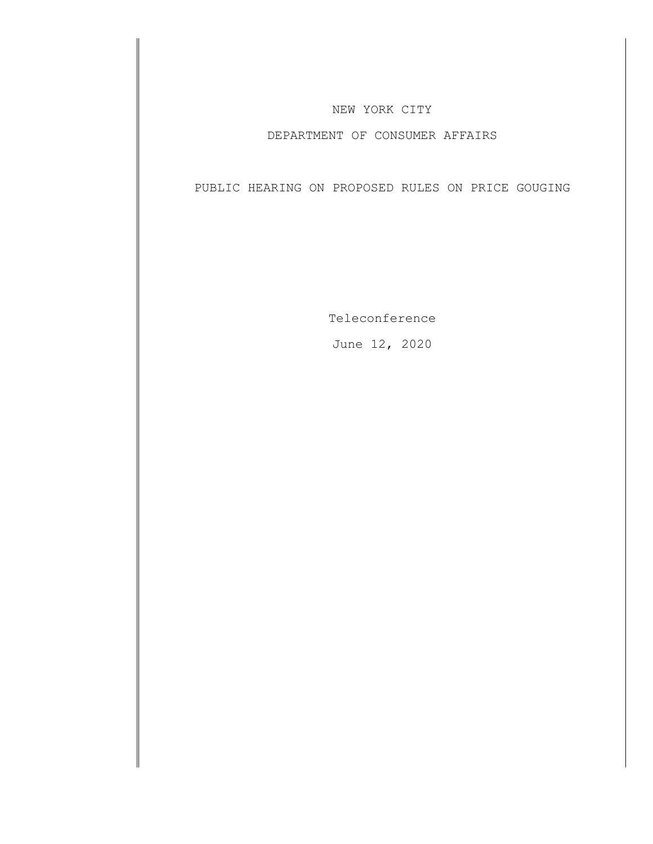## NEW YORK CITY

## DEPARTMENT OF CONSUMER AFFAIRS

PUBLIC HEARING ON PROPOSED RULES ON PRICE GOUGING

Teleconference

June 12, 2020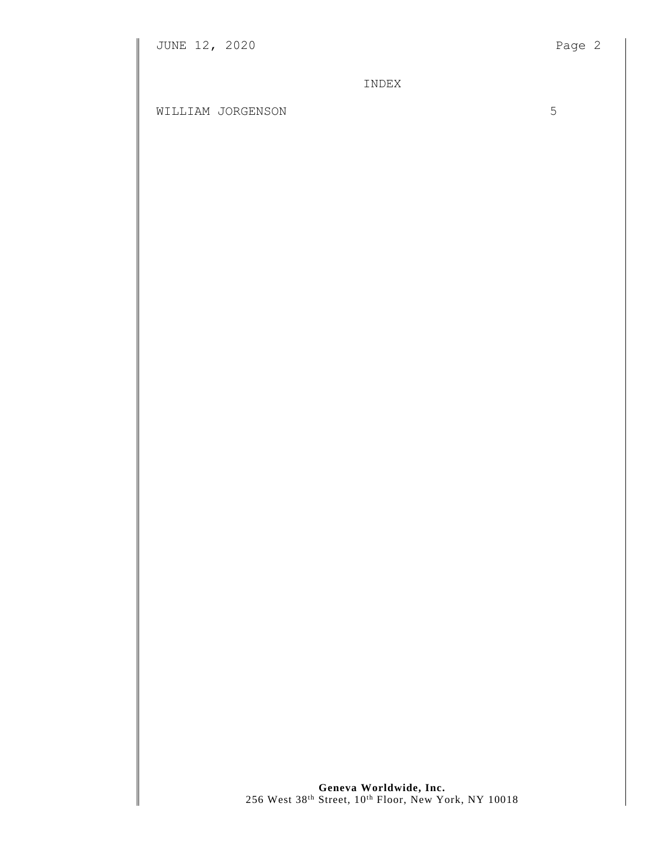INDEX

WILLIAM JORGENSON 5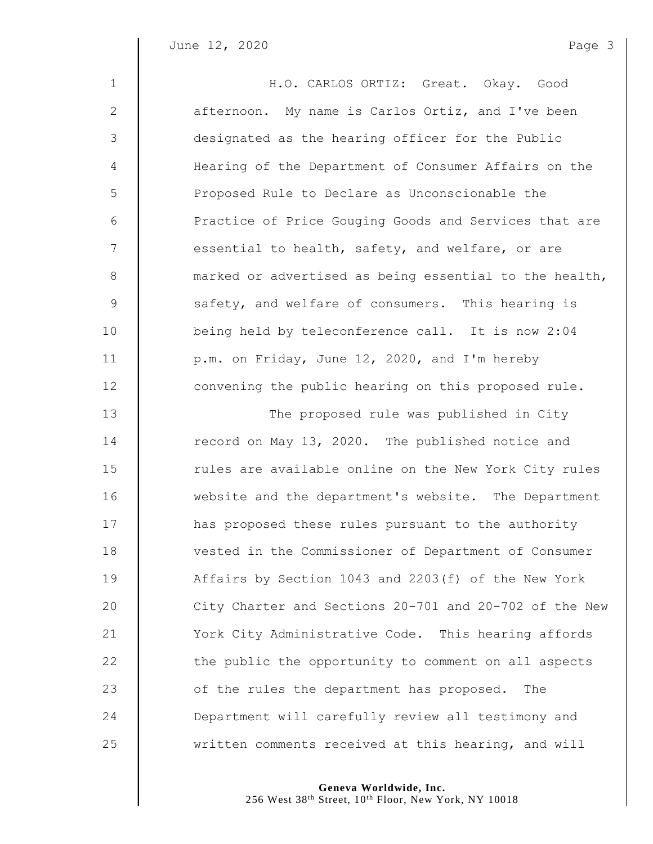| $\mathbf{1}$   | H.O. CARLOS ORTIZ: Great. Okay. Good                   |
|----------------|--------------------------------------------------------|
| $\mathbf{2}$   | afternoon. My name is Carlos Ortiz, and I've been      |
| 3              | designated as the hearing officer for the Public       |
| $\overline{4}$ | Hearing of the Department of Consumer Affairs on the   |
| 5              | Proposed Rule to Declare as Unconscionable the         |
| 6              | Practice of Price Gouging Goods and Services that are  |
| 7              | essential to health, safety, and welfare, or are       |
| $8\,$          | marked or advertised as being essential to the health, |
| 9              | safety, and welfare of consumers. This hearing is      |
| 10             | being held by teleconference call. It is now 2:04      |
| 11             | p.m. on Friday, June 12, 2020, and I'm hereby          |
| 12             | convening the public hearing on this proposed rule.    |
| 13             | The proposed rule was published in City                |
| 14             | record on May 13, 2020. The published notice and       |
| 15             | rules are available online on the New York City rules  |
| 16             | website and the department's website. The Department   |
| 17             | has proposed these rules pursuant to the authority     |
| 18             | vested in the Commissioner of Department of Consumer   |
| 19             | Affairs by Section 1043 and 2203(f) of the New York    |
| 20             | City Charter and Sections 20-701 and 20-702 of the New |
| 21             | York City Administrative Code. This hearing affords    |
| 22             | the public the opportunity to comment on all aspects   |
| 23             | of the rules the department has proposed.<br>The       |
| 24             | Department will carefully review all testimony and     |
| 25             | written comments received at this hearing, and will    |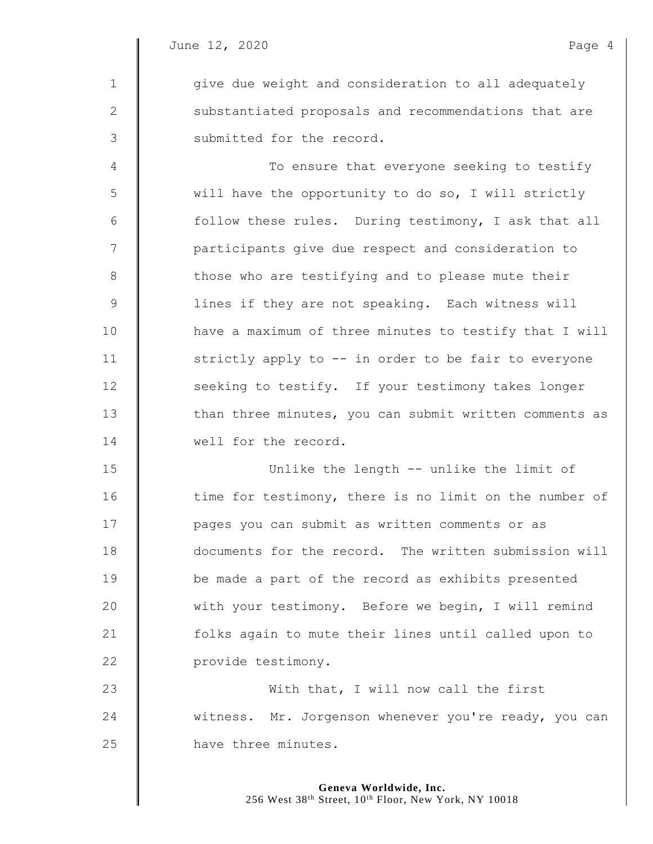1  $\parallel$  give due weight and consideration to all adequately 2 || substantiated proposals and recommendations that are 3 | submitted for the record.

4 | To ensure that everyone seeking to testify 5 will have the opportunity to do so, I will strictly 6 | follow these rules. During testimony, I ask that all 7 | participants give due respect and consideration to 8 || those who are testifying and to please mute their 9 || lines if they are not speaking. Each witness will 10 | have a maximum of three minutes to testify that I will 11 | strictly apply to -- in order to be fair to everyone 12 | seeking to testify. If your testimony takes longer 13 Than three minutes, you can submit written comments as 14 Well for the record.

15 Unlike the length -- unlike the limit of 16 time for testimony, there is no limit on the number of 17 **I** pages you can submit as written comments or as 18 documents for the record. The written submission will 19 **be made a part of the record as exhibits presented** 20 Weith your testimony. Before we begin, I will remind 21 | folks again to mute their lines until called upon to 22 **provide testimony.** 

23 With that, I will now call the first 24 witness. Mr. Jorgenson whenever you're ready, you can 25 **have three minutes.**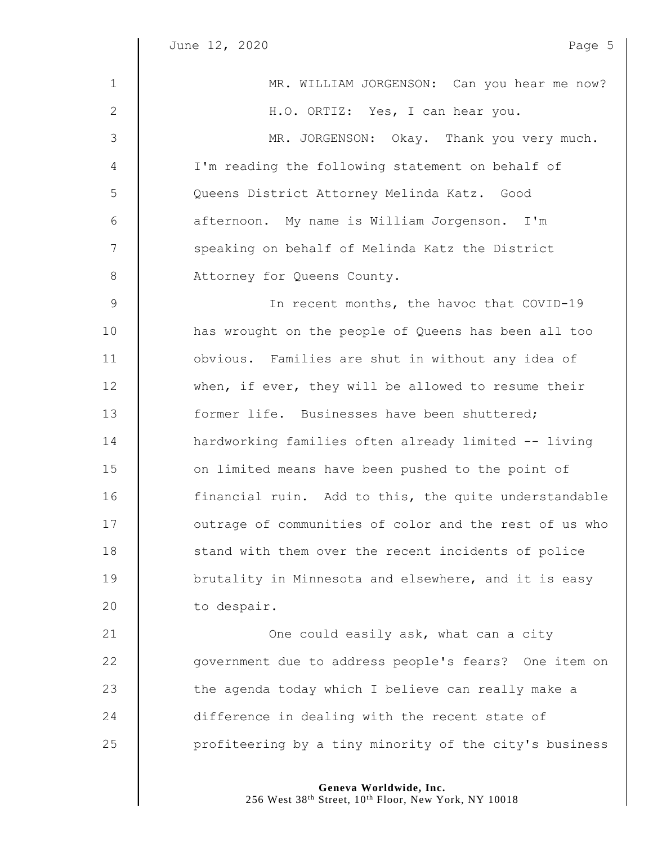$\parallel$ 

| $\mathbf{1}$    | MR. WILLIAM JORGENSON: Can you hear me now?            |
|-----------------|--------------------------------------------------------|
| $\mathbf{2}$    | H.O. ORTIZ: Yes, I can hear you.                       |
| 3               | MR. JORGENSON: Okay. Thank you very much.              |
| $\overline{4}$  | I'm reading the following statement on behalf of       |
| 5               | Queens District Attorney Melinda Katz. Good            |
| 6               | afternoon. My name is William Jorgenson. I'm           |
| $7\phantom{.0}$ | speaking on behalf of Melinda Katz the District        |
| 8               | Attorney for Queens County.                            |
| $\mathcal{G}$   | In recent months, the havoc that COVID-19              |
| 10              | has wrought on the people of Queens has been all too   |
| 11              | obvious. Families are shut in without any idea of      |
| 12              | when, if ever, they will be allowed to resume their    |
| 13              | former life. Businesses have been shuttered;           |
| 14              | hardworking families often already limited -- living   |
| 15              | on limited means have been pushed to the point of      |
| 16              | financial ruin. Add to this, the quite understandable  |
| 17              | outrage of communities of color and the rest of us who |
| 18              | stand with them over the recent incidents of police    |
| 19              | brutality in Minnesota and elsewhere, and it is easy   |
| 20              | to despair.                                            |
| 21              | One could easily ask, what can a city                  |
| 22              | government due to address people's fears? One item on  |
| 23              | the agenda today which I believe can really make a     |
| 24              | difference in dealing with the recent state of         |
| 25              | profiteering by a tiny minority of the city's business |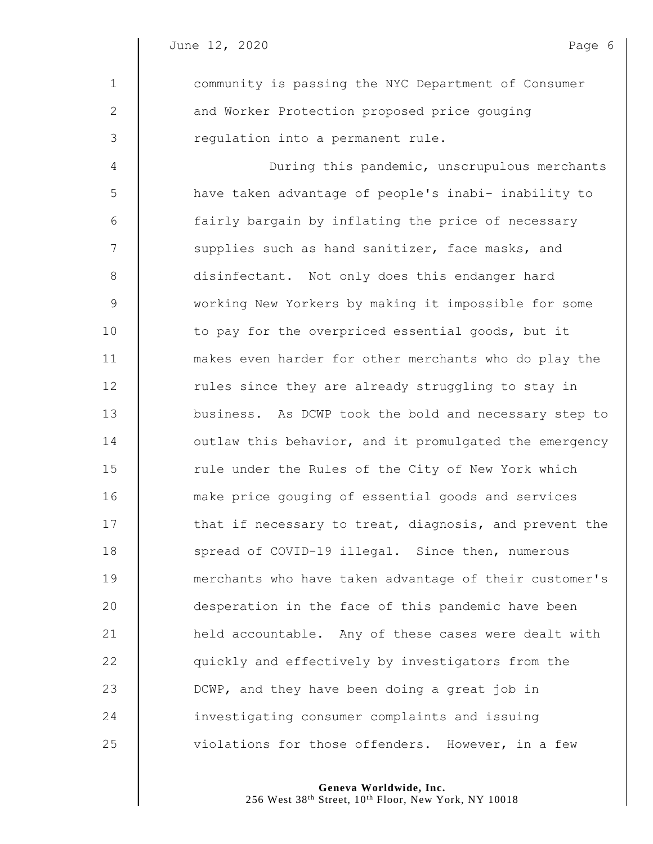1 **community is passing the NYC Department of Consumer** 2 | and Worker Protection proposed price gouging 3 | regulation into a permanent rule. 4 During this pandemic, unscrupulous merchants 5 | have taken advantage of people's inabi- inability to 6 | fairly bargain by inflating the price of necessary 7 | supplies such as hand sanitizer, face masks, and 8 **disinfectant.** Not only does this endanger hard 9 working New Yorkers by making it impossible for some 10 to pay for the overpriced essential goods, but it 11 makes even harder for other merchants who do play the 12 Tules since they are already struggling to stay in 13 **business.** As DCWP took the bold and necessary step to 14 **I** outlaw this behavior, and it promulgated the emergency 15 Tule under the Rules of the City of New York which 16 **make price gouging of essential goods and services** 17 **that if necessary to treat, diagnosis, and prevent the** 18 Spread of COVID-19 illegal. Since then, numerous 19 | merchants who have taken advantage of their customer's 20 **desperation in the face of this pandemic have been** 21 **held accountable.** Any of these cases were dealt with 22  $\parallel$  quickly and effectively by investigators from the 23 DCWP, and they have been doing a great job in 24 **I** investigating consumer complaints and issuing 25 | violations for those offenders. However, in a few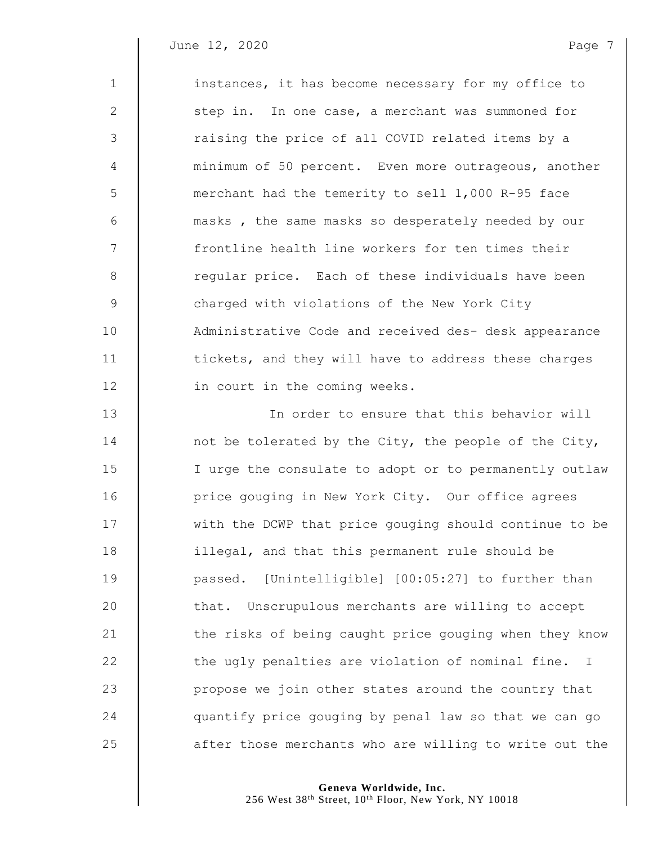June 12, 2020 **Page 7** 

1 instances, it has become necessary for my office to 2 | step in. In one case, a merchant was summoned for 3 || raising the price of all COVID related items by a minimum of 50 percent. Even more outrageous, another merchant had the temerity to sell 1,000 R-95 face **6** masks, the same masks so desperately needed by our  $\parallel$  frontline health line workers for ten times their 8 Teqular price. Each of these individuals have been 9 Some 20 charged with violations of the New York City **Administrative Code and received des- desk appearance tickets, and they will have to address these charges** 12 | in court in the coming weeks. In order to ensure that this behavior will **not be tolerated by the City, the people of the City,** 15 | I urge the consulate to adopt or to permanently outlaw **price gouging in New York City.** Our office agrees 17 We with the DCWP that price gouging should continue to be **illegal, and that this permanent rule should be**  passed. [Unintelligible] [00:05:27] to further than  $\parallel$  that. Unscrupulous merchants are willing to accept 21 | the risks of being caught price gouging when they know  $\parallel$  the ugly penalties are violation of nominal fine. I **propose we join other states around the country that**  $\parallel$  quantify price gouging by penal law so that we can go

> **Geneva Worldwide, Inc.** 256 West 38<sup>th</sup> Street, 10<sup>th</sup> Floor, New York, NY 10018

25 **a** after those merchants who are willing to write out the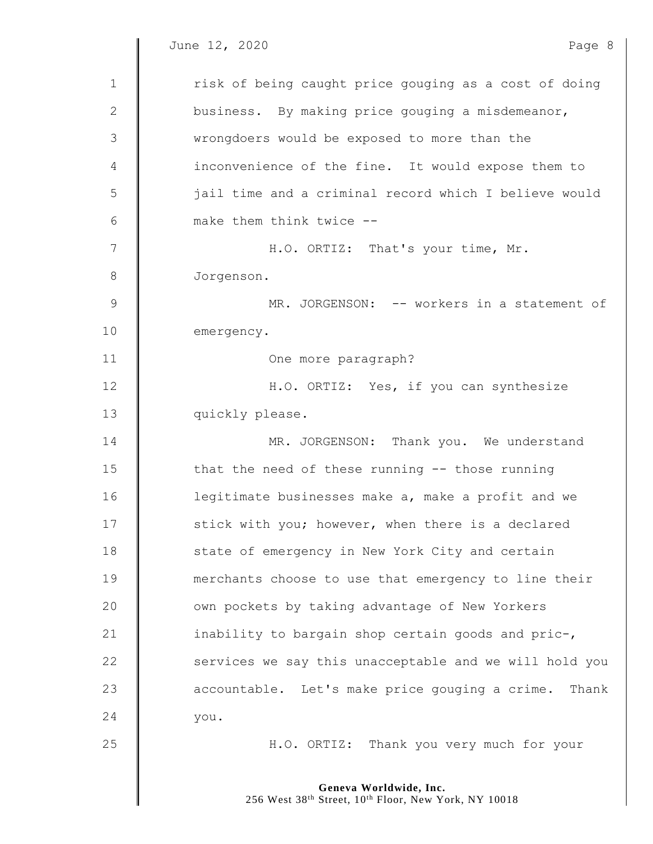$\parallel$ 

| $\mathbf{1}$ | risk of being caught price gouging as a cost of doing   |
|--------------|---------------------------------------------------------|
| 2            | business. By making price gouging a misdemeanor,        |
| 3            | wrongdoers would be exposed to more than the            |
| 4            | inconvenience of the fine. It would expose them to      |
| 5            | jail time and a criminal record which I believe would   |
| 6            | make them think twice --                                |
| 7            | H.O. ORTIZ: That's your time, Mr.                       |
| $8\,$        | Jorgenson.                                              |
| $\mathsf 9$  | MR. JORGENSON: -- workers in a statement of             |
| 10           | emergency.                                              |
| 11           | One more paragraph?                                     |
| 12           | H.O. ORTIZ: Yes, if you can synthesize                  |
| 13           | quickly please.                                         |
| 14           | MR. JORGENSON: Thank you. We understand                 |
| 15           | that the need of these running -- those running         |
| 16           | legitimate businesses make a, make a profit and we      |
| 17           | stick with you; however, when there is a declared       |
| 18           | state of emergency in New York City and certain         |
| 19           | merchants choose to use that emergency to line their    |
| 20           | own pockets by taking advantage of New Yorkers          |
| 21           | inability to bargain shop certain goods and pric-,      |
| 22           | services we say this unacceptable and we will hold you  |
| 23           | accountable. Let's make price gouging a crime.<br>Thank |
| 24           | you.                                                    |
| 25           | H.O. ORTIZ: Thank you very much for your                |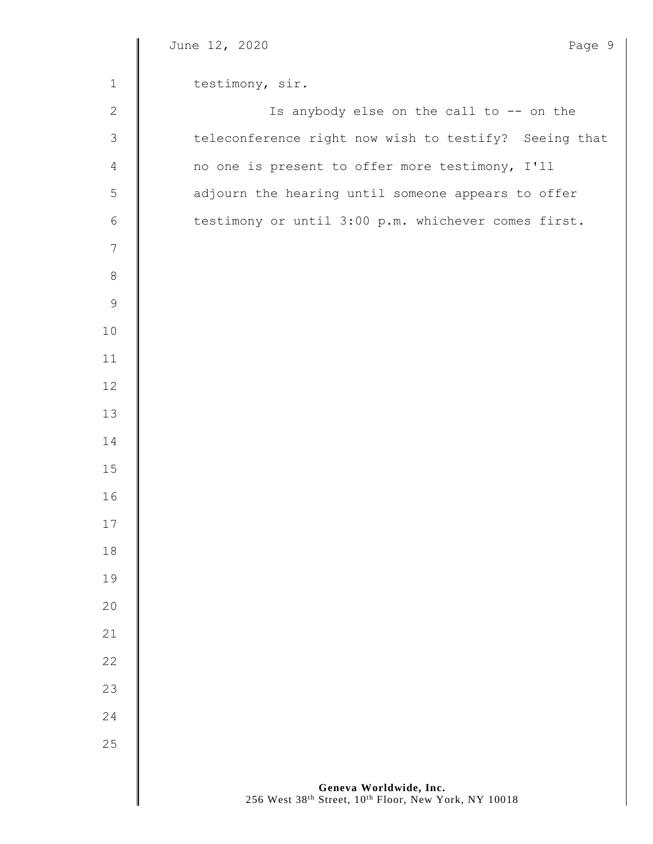|                | June 12, 2020<br>Page 9                                                        |
|----------------|--------------------------------------------------------------------------------|
| $\mathbf{1}$   | testimony, sir.                                                                |
| $\overline{2}$ | Is anybody else on the call to -- on the                                       |
| $\mathfrak{Z}$ | teleconference right now wish to testify? Seeing that                          |
| $\overline{4}$ | no one is present to offer more testimony, I'll                                |
| 5              | adjourn the hearing until someone appears to offer                             |
| $\sqrt{6}$     | testimony or until 3:00 p.m. whichever comes first.                            |
| $\overline{7}$ |                                                                                |
| 8              |                                                                                |
| $\mathsf 9$    |                                                                                |
| $10$           |                                                                                |
| 11             |                                                                                |
| 12             |                                                                                |
| 13             |                                                                                |
| 14             |                                                                                |
| 15             |                                                                                |
| 16             |                                                                                |
| 17             |                                                                                |
| $1\,8$         |                                                                                |
| 19             |                                                                                |
| 20             |                                                                                |
| 21             |                                                                                |
| 22             |                                                                                |
| 23             |                                                                                |
| 24             |                                                                                |
| 25             |                                                                                |
|                |                                                                                |
|                | Geneva Worldwide, Inc.<br>256 West 38th Street, 10th Floor, New York, NY 10018 |